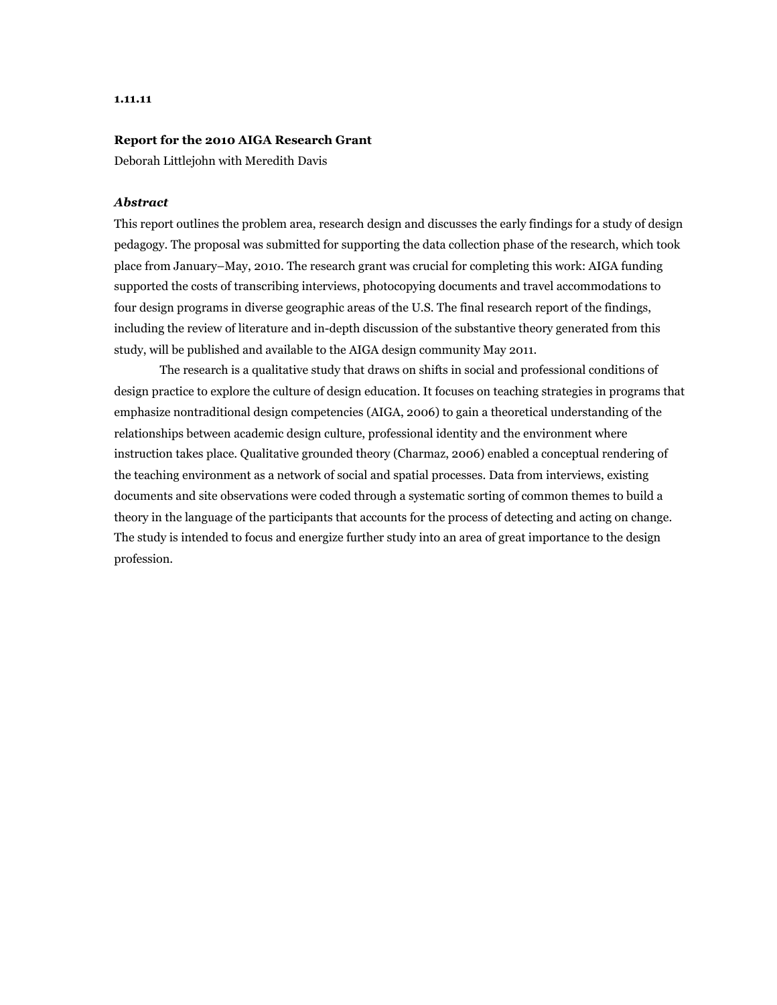#### **1.11.11**

### **Report for the 2010 AIGA Research Grant**

Deborah Littlejohn with Meredith Davis

## *Abstract*

This report outlines the problem area, research design and discusses the early findings for a study of design pedagogy. The proposal was submitted for supporting the data collection phase of the research, which took place from January–May, 2010. The research grant was crucial for completing this work: AIGA funding supported the costs of transcribing interviews, photocopying documents and travel accommodations to four design programs in diverse geographic areas of the U.S. The final research report of the findings, including the review of literature and in-depth discussion of the substantive theory generated from this study, will be published and available to the AIGA design community May 2011.

 The research is a qualitative study that draws on shifts in social and professional conditions of design practice to explore the culture of design education. It focuses on teaching strategies in programs that emphasize nontraditional design competencies (AIGA, 2006) to gain a theoretical understanding of the relationships between academic design culture, professional identity and the environment where instruction takes place. Qualitative grounded theory (Charmaz, 2006) enabled a conceptual rendering of the teaching environment as a network of social and spatial processes. Data from interviews, existing documents and site observations were coded through a systematic sorting of common themes to build a theory in the language of the participants that accounts for the process of detecting and acting on change. The study is intended to focus and energize further study into an area of great importance to the design profession.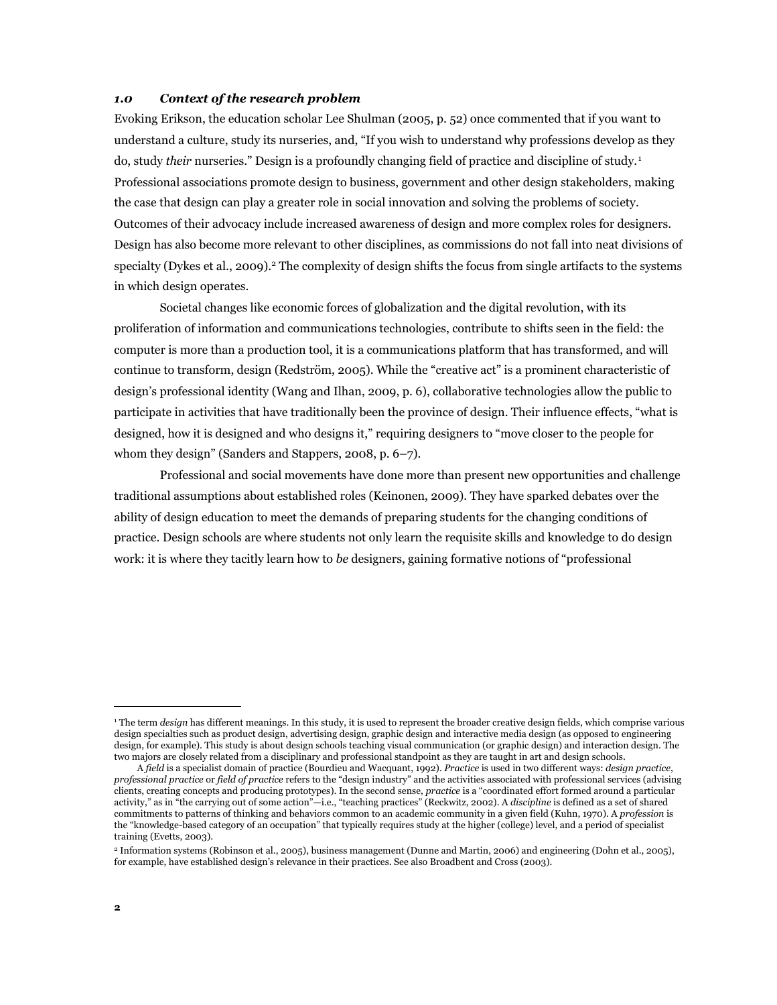## *1.0 Context of the research problem*

Evoking Erikson, the education scholar Lee Shulman (2005, p. 52) once commented that if you want to understand a culture, study its nurseries, and, "If you wish to understand why professions develop as they do, study *their* nurseries." Design is a profoundly changing field of practice and discipline of study. [1](#page-1-0) Professional associations promote design to business, government and other design stakeholders, making the case that design can play a greater role in social innovation and solving the problems of society. Outcomes of their advocacy include increased awareness of design and more complex roles for designers. Design has also become more relevant to other disciplines, as commissions do not fall into neat divisions of specialty (Dykes et al., [2](#page-1-1)009).<sup>2</sup> The complexity of design shifts the focus from single artifacts to the systems in which design operates.

Societal changes like economic forces of globalization and the digital revolution, with its proliferation of information and communications technologies, contribute to shifts seen in the field: the computer is more than a production tool, it is a communications platform that has transformed, and will continue to transform, design (Redström, 2005). While the "creative act" is a prominent characteristic of design's professional identity (Wang and Ilhan, 2009, p. 6), collaborative technologies allow the public to participate in activities that have traditionally been the province of design. Their influence effects, "what is designed, how it is designed and who designs it," requiring designers to "move closer to the people for whom they design" (Sanders and Stappers, 2008, p. 6–7).

 Professional and social movements have done more than present new opportunities and challenge traditional assumptions about established roles (Keinonen, 2009). They have sparked debates over the ability of design education to meet the demands of preparing students for the changing conditions of practice. Design schools are where students not only learn the requisite skills and knowledge to do design work: it is where they tacitly learn how to *be* designers, gaining formative notions of "professional

<span id="page-1-0"></span><sup>1</sup> The term *design* has different meanings. In this study, it is used to represent the broader creative design fields, which comprise various design specialties such as product design, advertising design, graphic design and interactive media design (as opposed to engineering design, for example). This study is about design schools teaching visual communication (or graphic design) and interaction design. The two majors are closely related from a disciplinary and professional standpoint as they are taught in art and design schools.

A *field* is a specialist domain of practice (Bourdieu and Wacquant, 1992). *Practice* is used in two different ways: *design practice*, *professional practice* or *field of practice* refers to the "design industry" and the activities associated with professional services (advising clients, creating concepts and producing prototypes). In the second sense, *practice* is a "coordinated effort formed around a particular activity," as in "the carrying out of some action"—i.e., "teaching practices" (Reckwitz, 2002). A *discipline* is defined as a set of shared commitments to patterns of thinking and behaviors common to an academic community in a given field (Kuhn, 1970). A *profession* is the "knowledge-based category of an occupation" that typically requires study at the higher (college) level, and a period of specialist training (Evetts, 2003).

<span id="page-1-1"></span><sup>2</sup> Information systems (Robinson et al., 2005), business management (Dunne and Martin, 2006) and engineering (Dohn et al., 2005), for example, have established design's relevance in their practices. See also Broadbent and Cross (2003).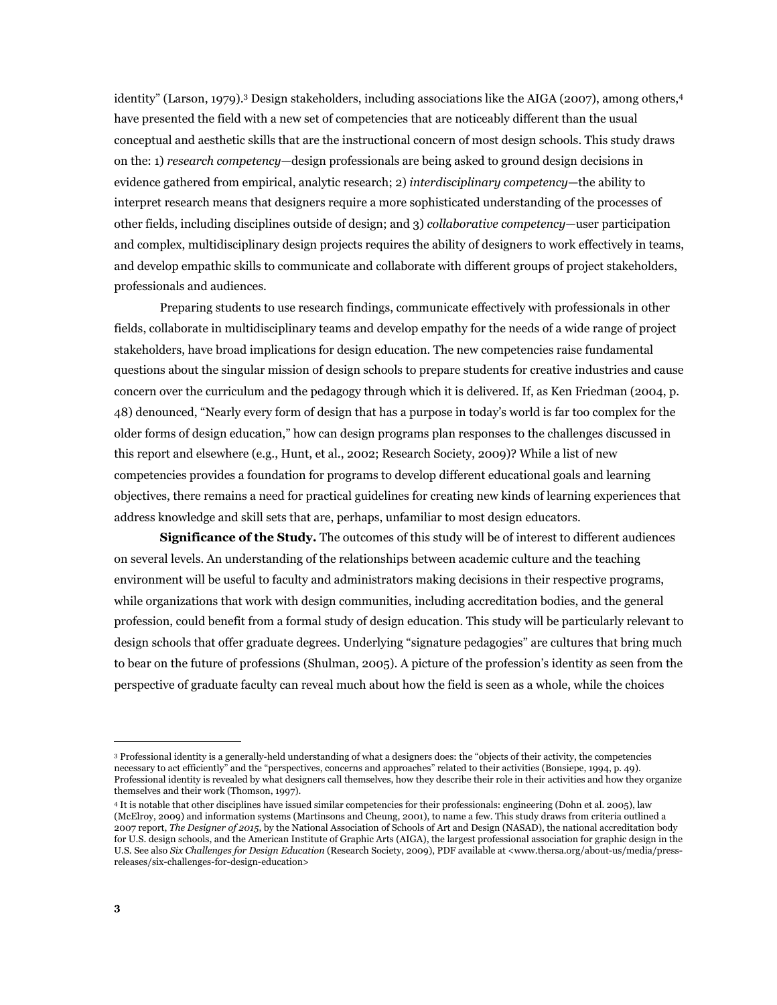identity" (Larson, 1979).<sup>3</sup> Design stakeholders, including associations like the AIGA (2007), among others,<sup>[4](#page-2-1)</sup> have presented the field with a new set of competencies that are noticeably different than the usual conceptual and aesthetic skills that are the instructional concern of most design schools. This study draws on the: 1) *research competency*—design professionals are being asked to ground design decisions in evidence gathered from empirical, analytic research; 2) *interdisciplinary competency*—the ability to interpret research means that designers require a more sophisticated understanding of the processes of other fields, including disciplines outside of design; and 3) *collaborative competency*—user participation and complex, multidisciplinary design projects requires the ability of designers to work effectively in teams, and develop empathic skills to communicate and collaborate with different groups of project stakeholders, professionals and audiences.

 Preparing students to use research findings, communicate effectively with professionals in other fields, collaborate in multidisciplinary teams and develop empathy for the needs of a wide range of project stakeholders, have broad implications for design education. The new competencies raise fundamental questions about the singular mission of design schools to prepare students for creative industries and cause concern over the curriculum and the pedagogy through which it is delivered. If, as Ken Friedman (2004, p. 48) denounced, "Nearly every form of design that has a purpose in today's world is far too complex for the older forms of design education," how can design programs plan responses to the challenges discussed in this report and elsewhere (e.g., Hunt, et al., 2002; Research Society, 2009)? While a list of new competencies provides a foundation for programs to develop different educational goals and learning objectives, there remains a need for practical guidelines for creating new kinds of learning experiences that address knowledge and skill sets that are, perhaps, unfamiliar to most design educators.

 **Significance of the Study.** The outcomes of this study will be of interest to different audiences on several levels. An understanding of the relationships between academic culture and the teaching environment will be useful to faculty and administrators making decisions in their respective programs, while organizations that work with design communities, including accreditation bodies, and the general profession, could benefit from a formal study of design education. This study will be particularly relevant to design schools that offer graduate degrees. Underlying "signature pedagogies" are cultures that bring much to bear on the future of professions (Shulman, 2005). A picture of the profession's identity as seen from the perspective of graduate faculty can reveal much about how the field is seen as a whole, while the choices

<span id="page-2-0"></span><sup>3</sup> Professional identity is a generally-held understanding of what a designers does: the "objects of their activity, the competencies necessary to act efficiently" and the "perspectives, concerns and approaches" related to their activities (Bonsiepe, 1994, p. 49). Professional identity is revealed by what designers call themselves, how they describe their role in their activities and how they organize themselves and their work (Thomson, 1997).

<span id="page-2-1"></span><sup>4</sup> It is notable that other disciplines have issued similar competencies for their professionals: engineering (Dohn et al. 2005), law (McElroy, 2009) and information systems (Martinsons and Cheung, 2001), to name a few. This study draws from criteria outlined a 2007 report, *The Designer of 2015*, by the National Association of Schools of Art and Design (NASAD), the national accreditation body for U.S. design schools, and the American Institute of Graphic Arts (AIGA), the largest professional association for graphic design in the U.S. See also *Six Challenges for Design Education* (Research Society, 2009), PDF available at <www.thersa.org/about-us/media/pressreleases/six-challenges-for-design-education>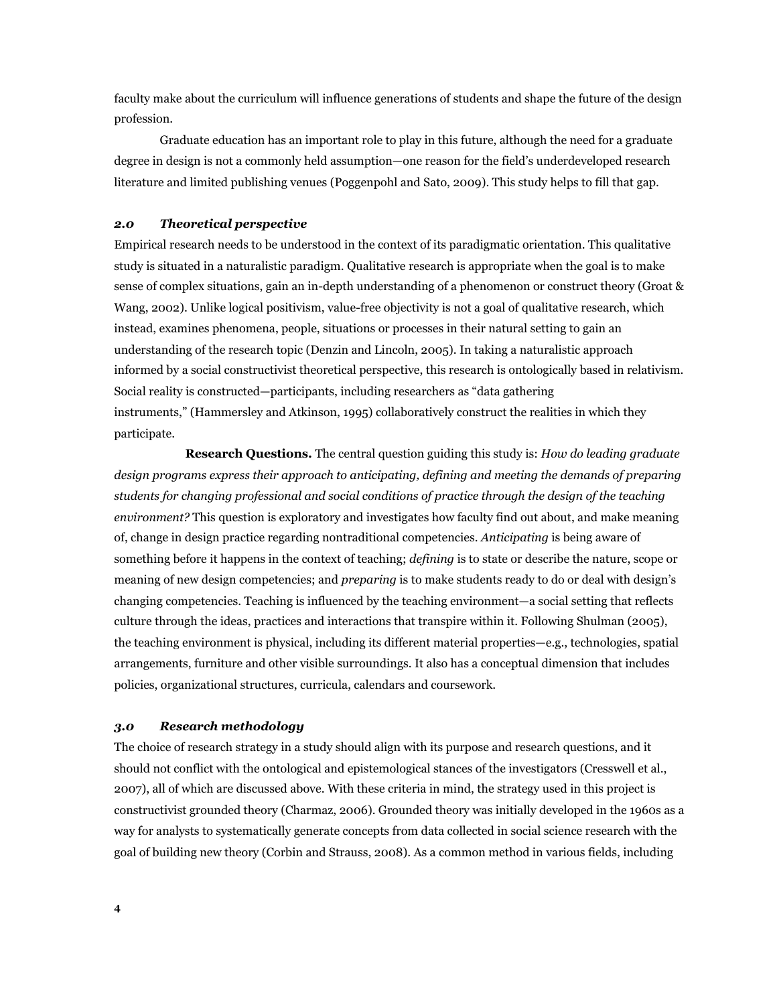faculty make about the curriculum will influence generations of students and shape the future of the design profession.

 Graduate education has an important role to play in this future, although the need for a graduate degree in design is not a commonly held assumption—one reason for the field's underdeveloped research literature and limited publishing venues (Poggenpohl and Sato, 2009). This study helps to fill that gap.

### *2.0 Theoretical perspective*

Empirical research needs to be understood in the context of its paradigmatic orientation. This qualitative study is situated in a naturalistic paradigm. Qualitative research is appropriate when the goal is to make sense of complex situations, gain an in-depth understanding of a phenomenon or construct theory (Groat & Wang, 2002). Unlike logical positivism, value-free objectivity is not a goal of qualitative research, which instead, examines phenomena, people, situations or processes in their natural setting to gain an understanding of the research topic (Denzin and Lincoln, 2005). In taking a naturalistic approach informed by a social constructivist theoretical perspective, this research is ontologically based in relativism. Social reality is constructed—participants, including researchers as "data gathering instruments," (Hammersley and Atkinson, 1995) collaboratively construct the realities in which they participate.

**Research Questions.** The central question guiding this study is: *How do leading graduate design programs express their approach to anticipating, defining and meeting the demands of preparing students for changing professional and social conditions of practice through the design of the teaching environment?* This question is exploratory and investigates how faculty find out about, and make meaning of, change in design practice regarding nontraditional competencies. *Anticipating* is being aware of something before it happens in the context of teaching; *defining* is to state or describe the nature, scope or meaning of new design competencies; and *preparing* is to make students ready to do or deal with design's changing competencies. Teaching is influenced by the teaching environment—a social setting that reflects culture through the ideas, practices and interactions that transpire within it. Following Shulman (2005), the teaching environment is physical, including its different material properties—e.g., technologies, spatial arrangements, furniture and other visible surroundings. It also has a conceptual dimension that includes policies, organizational structures, curricula, calendars and coursework.

### *3.0 Research methodology*

The choice of research strategy in a study should align with its purpose and research questions, and it should not conflict with the ontological and epistemological stances of the investigators (Cresswell et al., 2007), all of which are discussed above. With these criteria in mind, the strategy used in this project is constructivist grounded theory (Charmaz, 2006). Grounded theory was initially developed in the 1960s as a way for analysts to systematically generate concepts from data collected in social science research with the goal of building new theory (Corbin and Strauss, 2008). As a common method in various fields, including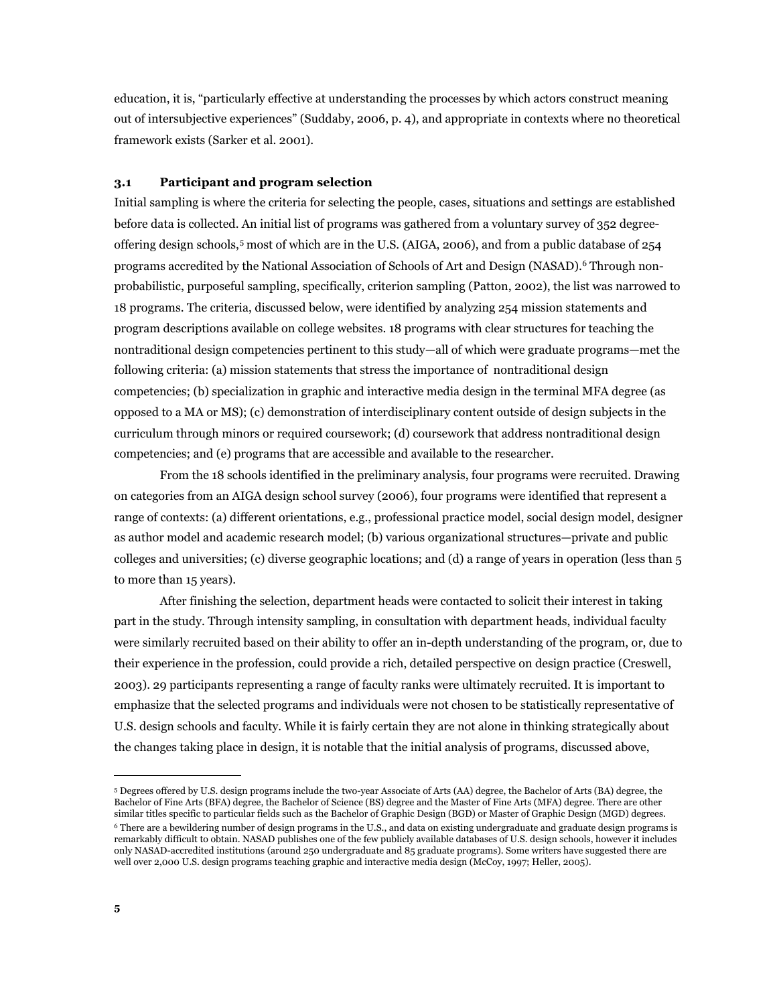education, it is, "particularly effective at understanding the processes by which actors construct meaning out of intersubjective experiences" (Suddaby, 2006, p. 4), and appropriate in contexts where no theoretical framework exists (Sarker et al. 2001).

## **3.1 Participant and program selection**

Initial sampling is where the criteria for selecting the people, cases, situations and settings are established before data is collected. An initial list of programs was gathered from a voluntary survey of 352 degreeoffering design schools,[5](#page-4-0) most of which are in the U.S. (AIGA, 2006), and from a public database of 254 programs accredited by the National Association of Schools of Art and Design (NASAD).<sup>[6](#page-4-1)</sup> Through nonprobabilistic, purposeful sampling, specifically, criterion sampling (Patton, 2002), the list was narrowed to 18 programs. The criteria, discussed below, were identified by analyzing 254 mission statements and program descriptions available on college websites. 18 programs with clear structures for teaching the nontraditional design competencies pertinent to this study—all of which were graduate programs—met the following criteria: (a) mission statements that stress the importance of nontraditional design competencies; (b) specialization in graphic and interactive media design in the terminal MFA degree (as opposed to a MA or MS); (c) demonstration of interdisciplinary content outside of design subjects in the curriculum through minors or required coursework; (d) coursework that address nontraditional design competencies; and (e) programs that are accessible and available to the researcher.

From the 18 schools identified in the preliminary analysis, four programs were recruited. Drawing on categories from an AIGA design school survey (2006), four programs were identified that represent a range of contexts: (a) different orientations, e.g., professional practice model, social design model, designer as author model and academic research model; (b) various organizational structures—private and public colleges and universities; (c) diverse geographic locations; and (d) a range of years in operation (less than 5 to more than 15 years).

After finishing the selection, department heads were contacted to solicit their interest in taking part in the study. Through intensity sampling, in consultation with department heads, individual faculty were similarly recruited based on their ability to offer an in-depth understanding of the program, or, due to their experience in the profession, could provide a rich, detailed perspective on design practice (Creswell, 2003). 29 participants representing a range of faculty ranks were ultimately recruited. It is important to emphasize that the selected programs and individuals were not chosen to be statistically representative of U.S. design schools and faculty. While it is fairly certain they are not alone in thinking strategically about the changes taking place in design, it is notable that the initial analysis of programs, discussed above,

<span id="page-4-1"></span><span id="page-4-0"></span><sup>5</sup> Degrees offered by U.S. design programs include the two-year Associate of Arts (AA) degree, the Bachelor of Arts (BA) degree, the Bachelor of Fine Arts (BFA) degree, the Bachelor of Science (BS) degree and the Master of Fine Arts (MFA) degree. There are other similar titles specific to particular fields such as the Bachelor of Graphic Design (BGD) or Master of Graphic Design (MGD) degrees. 6 There are a bewildering number of design programs in the U.S., and data on existing undergraduate and graduate design programs is remarkably difficult to obtain. NASAD publishes one of the few publicly available databases of U.S. design schools, however it includes only NASAD-accredited institutions (around 250 undergraduate and 85 graduate programs). Some writers have suggested there are well over 2,000 U.S. design programs teaching graphic and interactive media design (McCoy, 1997; Heller, 2005).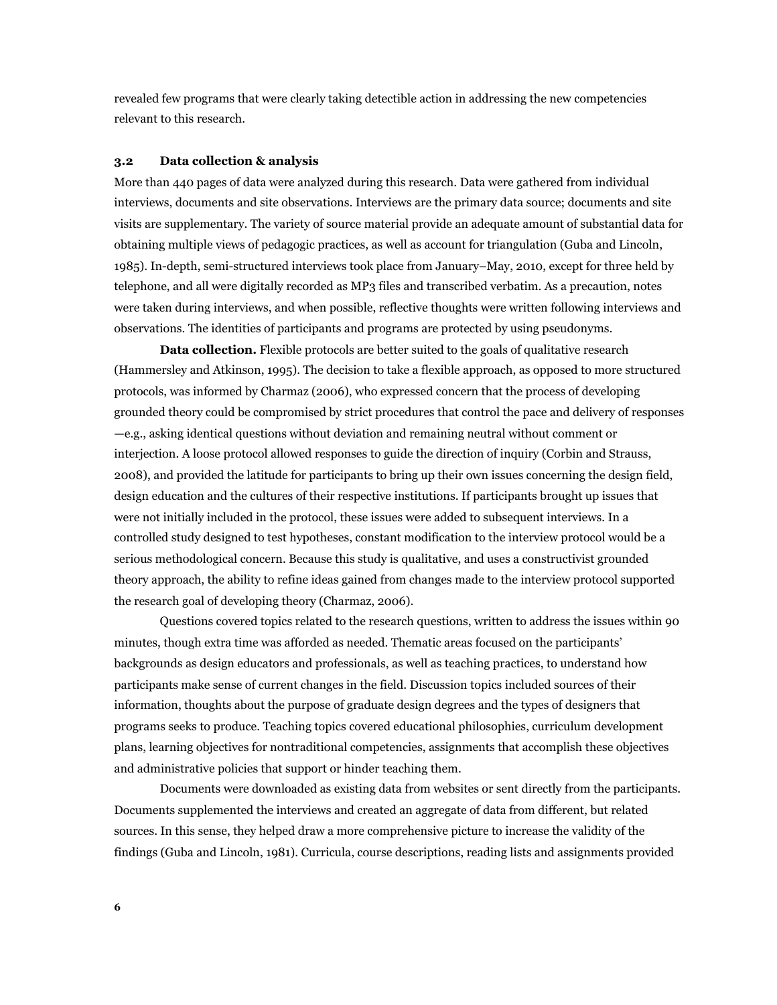revealed few programs that were clearly taking detectible action in addressing the new competencies relevant to this research.

#### **3.2 Data collection & analysis**

More than 440 pages of data were analyzed during this research. Data were gathered from individual interviews, documents and site observations. Interviews are the primary data source; documents and site visits are supplementary. The variety of source material provide an adequate amount of substantial data for obtaining multiple views of pedagogic practices, as well as account for triangulation (Guba and Lincoln, 1985). In-depth, semi-structured interviews took place from January–May, 2010, except for three held by telephone, and all were digitally recorded as MP3 files and transcribed verbatim. As a precaution, notes were taken during interviews, and when possible, reflective thoughts were written following interviews and observations. The identities of participants and programs are protected by using pseudonyms.

**Data collection.** Flexible protocols are better suited to the goals of qualitative research (Hammersley and Atkinson, 1995). The decision to take a flexible approach, as opposed to more structured protocols, was informed by Charmaz (2006), who expressed concern that the process of developing grounded theory could be compromised by strict procedures that control the pace and delivery of responses —e.g., asking identical questions without deviation and remaining neutral without comment or interjection. A loose protocol allowed responses to guide the direction of inquiry (Corbin and Strauss, 2008), and provided the latitude for participants to bring up their own issues concerning the design field, design education and the cultures of their respective institutions. If participants brought up issues that were not initially included in the protocol, these issues were added to subsequent interviews. In a controlled study designed to test hypotheses, constant modification to the interview protocol would be a serious methodological concern. Because this study is qualitative, and uses a constructivist grounded theory approach, the ability to refine ideas gained from changes made to the interview protocol supported the research goal of developing theory (Charmaz, 2006).

 Questions covered topics related to the research questions, written to address the issues within 90 minutes, though extra time was afforded as needed. Thematic areas focused on the participants' backgrounds as design educators and professionals, as well as teaching practices, to understand how participants make sense of current changes in the field. Discussion topics included sources of their information, thoughts about the purpose of graduate design degrees and the types of designers that programs seeks to produce. Teaching topics covered educational philosophies, curriculum development plans, learning objectives for nontraditional competencies, assignments that accomplish these objectives and administrative policies that support or hinder teaching them.

 Documents were downloaded as existing data from websites or sent directly from the participants. Documents supplemented the interviews and created an aggregate of data from different, but related sources. In this sense, they helped draw a more comprehensive picture to increase the validity of the findings (Guba and Lincoln, 1981). Curricula, course descriptions, reading lists and assignments provided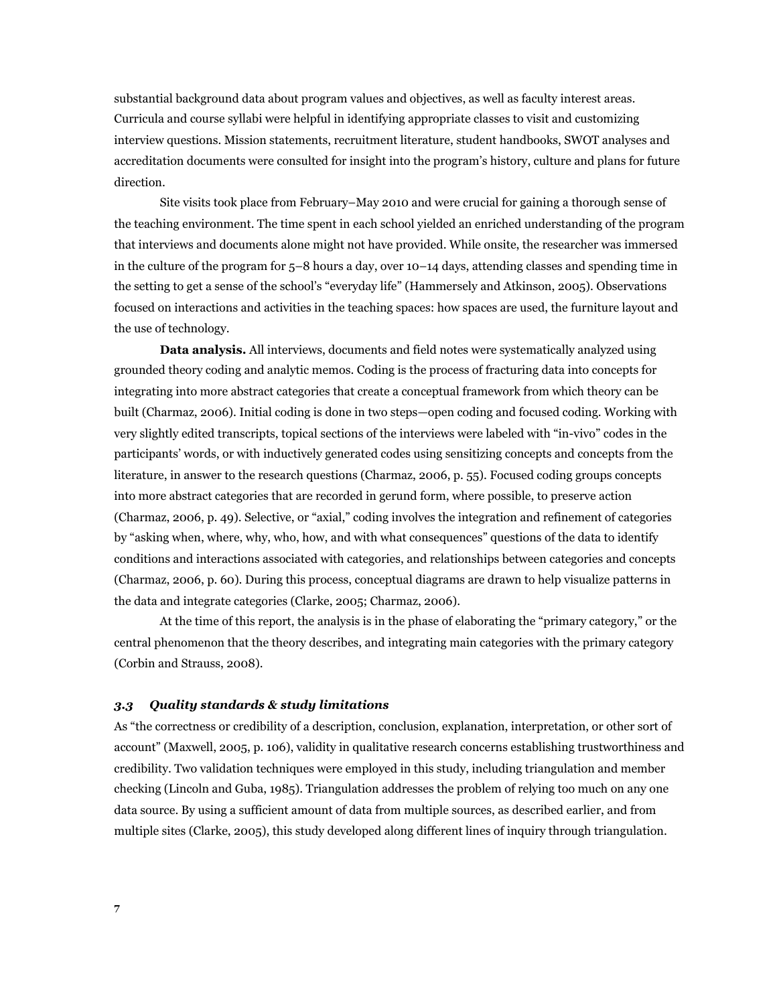substantial background data about program values and objectives, as well as faculty interest areas*.*  Curricula and course syllabi were helpful in identifying appropriate classes to visit and customizing interview questions. Mission statements, recruitment literature, student handbooks, SWOT analyses and accreditation documents were consulted for insight into the program's history, culture and plans for future direction.

 Site visits took place from February–May 2010 and were crucial for gaining a thorough sense of the teaching environment. The time spent in each school yielded an enriched understanding of the program that interviews and documents alone might not have provided. While onsite, the researcher was immersed in the culture of the program for 5–8 hours a day, over 10–14 days, attending classes and spending time in the setting to get a sense of the school's "everyday life" (Hammersely and Atkinson, 2005). Observations focused on interactions and activities in the teaching spaces: how spaces are used, the furniture layout and the use of technology.

**Data analysis.** All interviews, documents and field notes were systematically analyzed using grounded theory coding and analytic memos. Coding is the process of fracturing data into concepts for integrating into more abstract categories that create a conceptual framework from which theory can be built (Charmaz, 2006). Initial coding is done in two steps—open coding and focused coding. Working with very slightly edited transcripts, topical sections of the interviews were labeled with "in-vivo" codes in the participants' words, or with inductively generated codes using sensitizing concepts and concepts from the literature, in answer to the research questions (Charmaz, 2006, p. 55). Focused coding groups concepts into more abstract categories that are recorded in gerund form, where possible, to preserve action (Charmaz, 2006, p. 49). Selective, or "axial," coding involves the integration and refinement of categories by "asking when, where, why, who, how, and with what consequences" questions of the data to identify conditions and interactions associated with categories, and relationships between categories and concepts (Charmaz, 2006, p. 60). During this process, conceptual diagrams are drawn to help visualize patterns in the data and integrate categories (Clarke, 2005; Charmaz, 2006).

 At the time of this report, the analysis is in the phase of elaborating the "primary category," or the central phenomenon that the theory describes, and integrating main categories with the primary category (Corbin and Strauss, 2008).

### *3.3 Quality standards & study limitations*

As "the correctness or credibility of a description, conclusion, explanation, interpretation, or other sort of account" (Maxwell, 2005, p. 106), validity in qualitative research concerns establishing trustworthiness and credibility. Two validation techniques were employed in this study, including triangulation and member checking (Lincoln and Guba, 1985). Triangulation addresses the problem of relying too much on any one data source. By using a sufficient amount of data from multiple sources, as described earlier, and from multiple sites (Clarke, 2005), this study developed along different lines of inquiry through triangulation.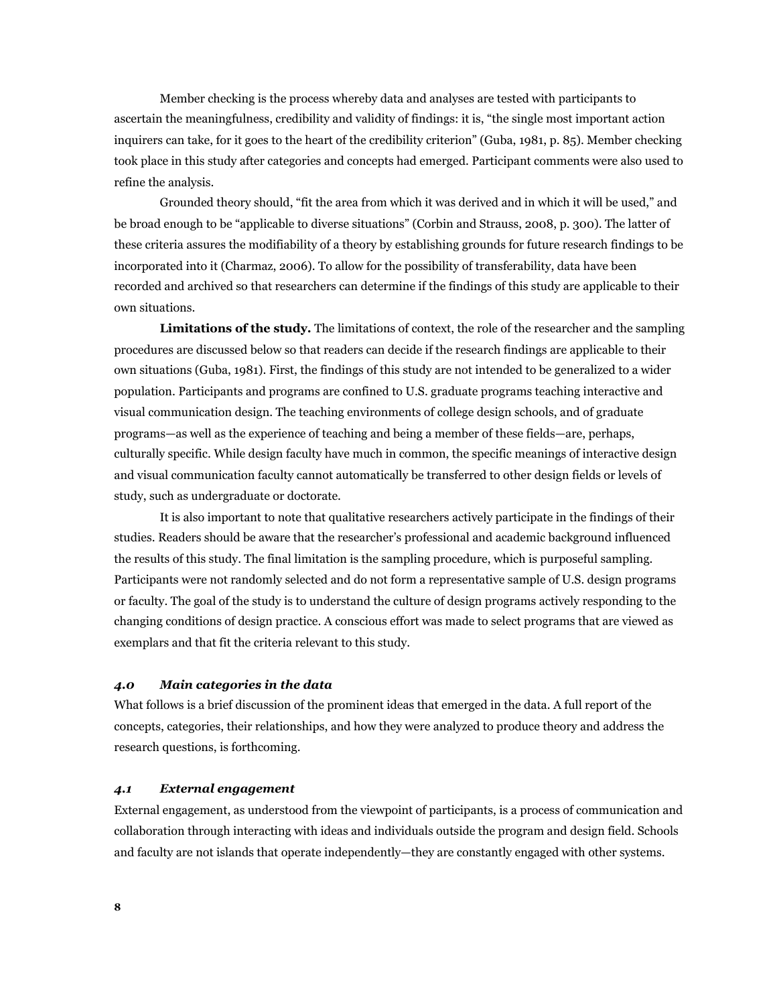Member checking is the process whereby data and analyses are tested with participants to ascertain the meaningfulness, credibility and validity of findings: it is, "the single most important action inquirers can take, for it goes to the heart of the credibility criterion" (Guba, 1981, p. 85). Member checking took place in this study after categories and concepts had emerged. Participant comments were also used to refine the analysis.

 Grounded theory should, "fit the area from which it was derived and in which it will be used," and be broad enough to be "applicable to diverse situations" (Corbin and Strauss, 2008, p. 300). The latter of these criteria assures the modifiability of a theory by establishing grounds for future research findings to be incorporated into it (Charmaz, 2006). To allow for the possibility of transferability, data have been recorded and archived so that researchers can determine if the findings of this study are applicable to their own situations.

**Limitations of the study.** The limitations of context, the role of the researcher and the sampling procedures are discussed below so that readers can decide if the research findings are applicable to their own situations (Guba, 1981). First, the findings of this study are not intended to be generalized to a wider population. Participants and programs are confined to U.S. graduate programs teaching interactive and visual communication design. The teaching environments of college design schools, and of graduate programs—as well as the experience of teaching and being a member of these fields—are, perhaps, culturally specific. While design faculty have much in common, the specific meanings of interactive design and visual communication faculty cannot automatically be transferred to other design fields or levels of study, such as undergraduate or doctorate.

It is also important to note that qualitative researchers actively participate in the findings of their studies. Readers should be aware that the researcher's professional and academic background influenced the results of this study. The final limitation is the sampling procedure, which is purposeful sampling. Participants were not randomly selected and do not form a representative sample of U.S. design programs or faculty. The goal of the study is to understand the culture of design programs actively responding to the changing conditions of design practice. A conscious effort was made to select programs that are viewed as exemplars and that fit the criteria relevant to this study.

#### *4.0 Main categories in the data*

What follows is a brief discussion of the prominent ideas that emerged in the data. A full report of the concepts, categories, their relationships, and how they were analyzed to produce theory and address the research questions, is forthcoming.

### *4.1 External engagement*

External engagement, as understood from the viewpoint of participants, is a process of communication and collaboration through interacting with ideas and individuals outside the program and design field. Schools and faculty are not islands that operate independently—they are constantly engaged with other systems.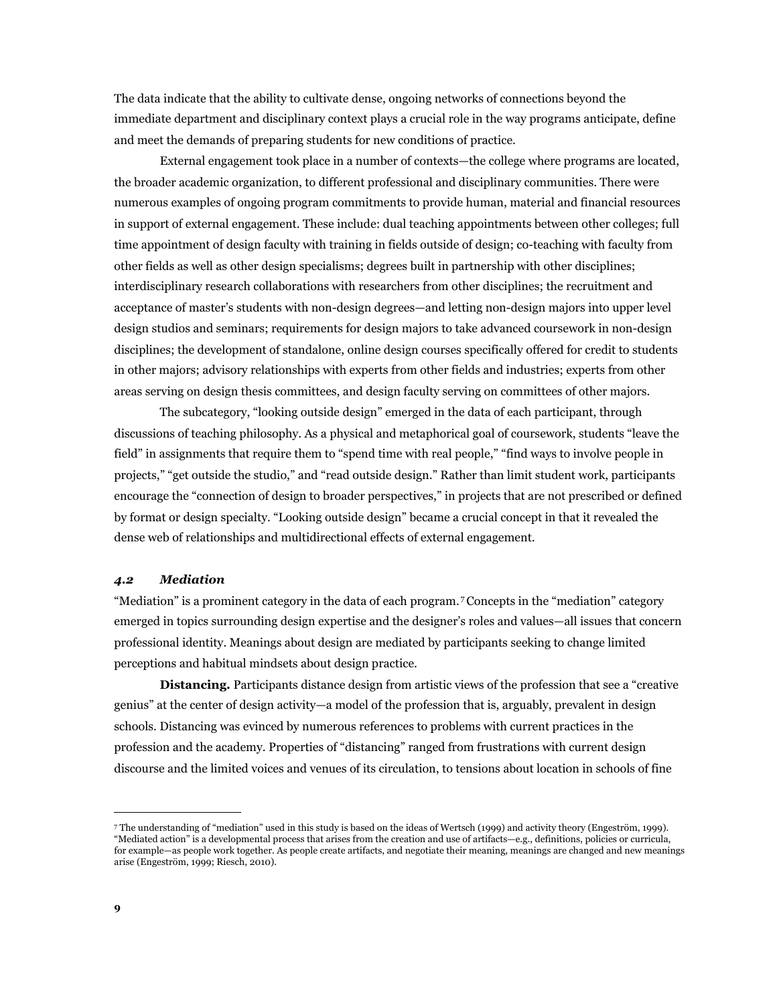The data indicate that the ability to cultivate dense, ongoing networks of connections beyond the immediate department and disciplinary context plays a crucial role in the way programs anticipate, define and meet the demands of preparing students for new conditions of practice.

 External engagement took place in a number of contexts—the college where programs are located, the broader academic organization, to different professional and disciplinary communities. There were numerous examples of ongoing program commitments to provide human, material and financial resources in support of external engagement. These include: dual teaching appointments between other colleges; full time appointment of design faculty with training in fields outside of design; co-teaching with faculty from other fields as well as other design specialisms; degrees built in partnership with other disciplines; interdisciplinary research collaborations with researchers from other disciplines; the recruitment and acceptance of master's students with non-design degrees—and letting non-design majors into upper level design studios and seminars; requirements for design majors to take advanced coursework in non-design disciplines; the development of standalone, online design courses specifically offered for credit to students in other majors; advisory relationships with experts from other fields and industries; experts from other areas serving on design thesis committees, and design faculty serving on committees of other majors.

The subcategory, "looking outside design" emerged in the data of each participant, through discussions of teaching philosophy. As a physical and metaphorical goal of coursework, students "leave the field" in assignments that require them to "spend time with real people," "find ways to involve people in projects," "get outside the studio," and "read outside design." Rather than limit student work, participants encourage the "connection of design to broader perspectives," in projects that are not prescribed or defined by format or design specialty. "Looking outside design" became a crucial concept in that it revealed the dense web of relationships and multidirectional effects of external engagement.

## *4.2 Mediation*

"Mediation" is a prominent category in the data of each program. [7](#page-8-0) Concepts in the "mediation" category emerged in topics surrounding design expertise and the designer's roles and values—all issues that concern professional identity. Meanings about design are mediated by participants seeking to change limited perceptions and habitual mindsets about design practice.

**Distancing.** Participants distance design from artistic views of the profession that see a "creative genius" at the center of design activity—a model of the profession that is, arguably, prevalent in design schools. Distancing was evinced by numerous references to problems with current practices in the profession and the academy. Properties of "distancing" ranged from frustrations with current design discourse and the limited voices and venues of its circulation, to tensions about location in schools of fine

<span id="page-8-0"></span><sup>7</sup> The understanding of "mediation" used in this study is based on the ideas of Wertsch (1999) and activity theory (Engeström, 1999). "Mediated action" is a developmental process that arises from the creation and use of artifacts—e.g., definitions, policies or curricula, for example—as people work together. As people create artifacts, and negotiate their meaning, meanings are changed and new meanings arise (Engeström, 1999; Riesch, 2010).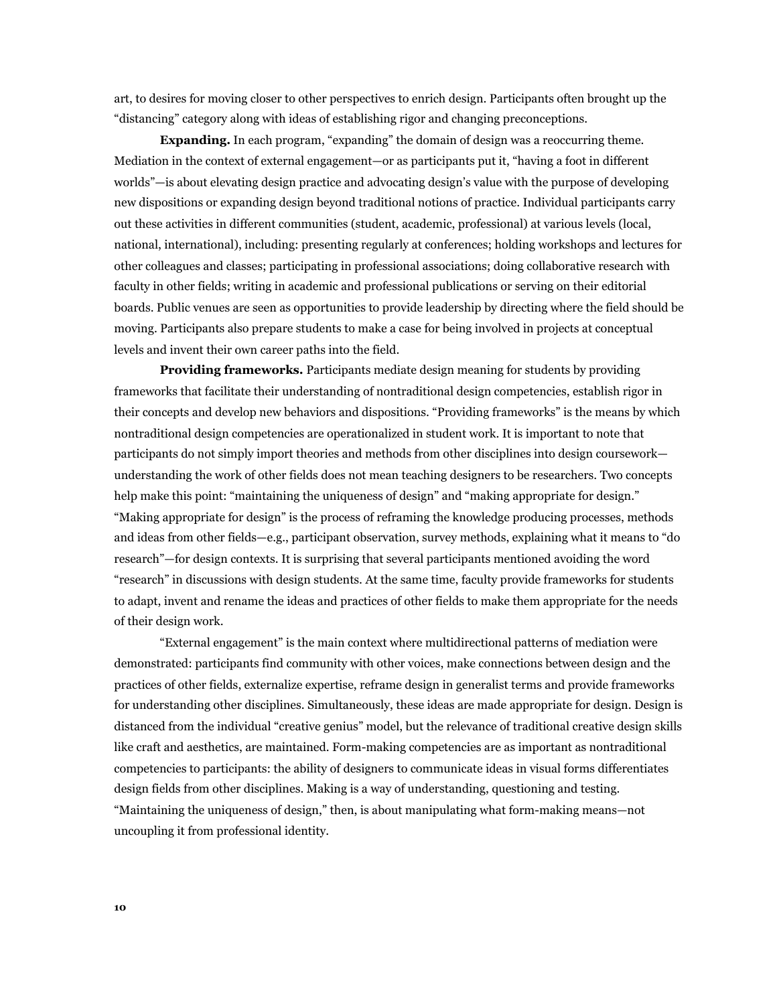art, to desires for moving closer to other perspectives to enrich design. Participants often brought up the "distancing" category along with ideas of establishing rigor and changing preconceptions.

**Expanding.** In each program, "expanding" the domain of design was a reoccurring theme. Mediation in the context of external engagement—or as participants put it, "having a foot in different worlds"—is about elevating design practice and advocating design's value with the purpose of developing new dispositions or expanding design beyond traditional notions of practice. Individual participants carry out these activities in different communities (student, academic, professional) at various levels (local, national, international), including: presenting regularly at conferences; holding workshops and lectures for other colleagues and classes; participating in professional associations; doing collaborative research with faculty in other fields; writing in academic and professional publications or serving on their editorial boards. Public venues are seen as opportunities to provide leadership by directing where the field should be moving. Participants also prepare students to make a case for being involved in projects at conceptual levels and invent their own career paths into the field.

**Providing frameworks.** Participants mediate design meaning for students by providing frameworks that facilitate their understanding of nontraditional design competencies, establish rigor in their concepts and develop new behaviors and dispositions. "Providing frameworks" is the means by which nontraditional design competencies are operationalized in student work. It is important to note that participants do not simply import theories and methods from other disciplines into design coursework understanding the work of other fields does not mean teaching designers to be researchers. Two concepts help make this point: "maintaining the uniqueness of design" and "making appropriate for design." "Making appropriate for design" is the process of reframing the knowledge producing processes, methods and ideas from other fields—e.g., participant observation, survey methods, explaining what it means to "do research"—for design contexts. It is surprising that several participants mentioned avoiding the word "research" in discussions with design students. At the same time, faculty provide frameworks for students to adapt, invent and rename the ideas and practices of other fields to make them appropriate for the needs of their design work.

 "External engagement" is the main context where multidirectional patterns of mediation were demonstrated: participants find community with other voices, make connections between design and the practices of other fields, externalize expertise, reframe design in generalist terms and provide frameworks for understanding other disciplines. Simultaneously, these ideas are made appropriate for design. Design is distanced from the individual "creative genius" model, but the relevance of traditional creative design skills like craft and aesthetics, are maintained. Form-making competencies are as important as nontraditional competencies to participants: the ability of designers to communicate ideas in visual forms differentiates design fields from other disciplines. Making is a way of understanding, questioning and testing. "Maintaining the uniqueness of design," then, is about manipulating what form-making means—not uncoupling it from professional identity.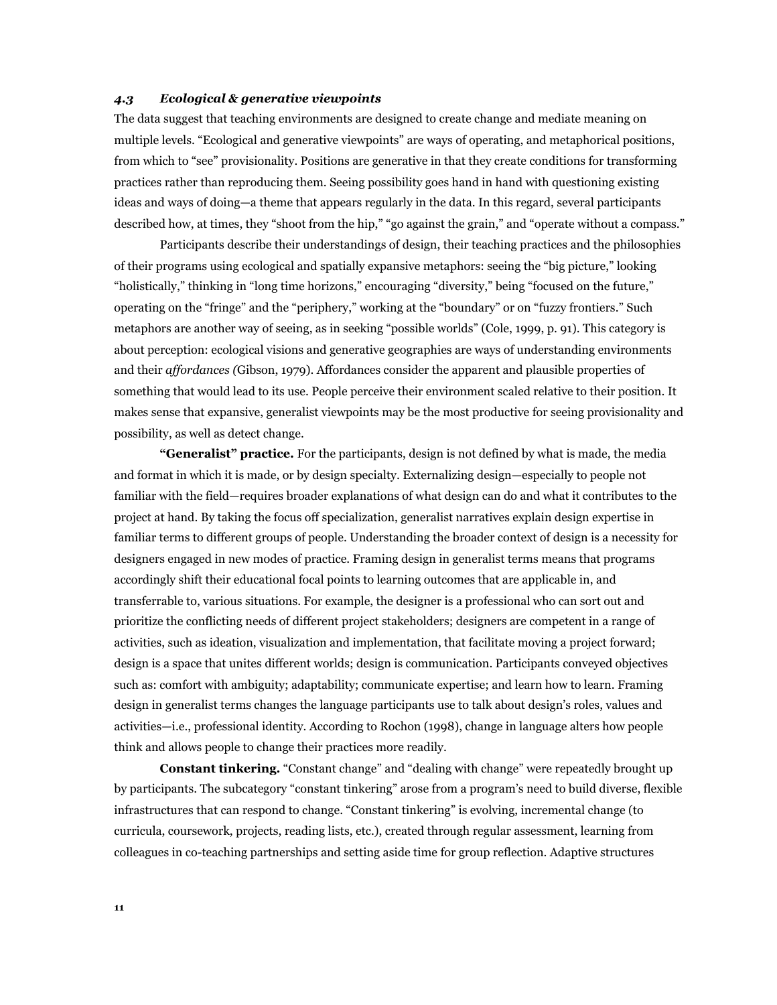### *4.3 Ecological & generative viewpoints*

The data suggest that teaching environments are designed to create change and mediate meaning on multiple levels. "Ecological and generative viewpoints" are ways of operating, and metaphorical positions, from which to "see" provisionality. Positions are generative in that they create conditions for transforming practices rather than reproducing them. Seeing possibility goes hand in hand with questioning existing ideas and ways of doing—a theme that appears regularly in the data. In this regard, several participants described how, at times, they "shoot from the hip," "go against the grain," and "operate without a compass."

Participants describe their understandings of design, their teaching practices and the philosophies of their programs using ecological and spatially expansive metaphors: seeing the "big picture," looking "holistically," thinking in "long time horizons," encouraging "diversity," being "focused on the future," operating on the "fringe" and the "periphery," working at the "boundary" or on "fuzzy frontiers." Such metaphors are another way of seeing, as in seeking "possible worlds" (Cole, 1999, p. 91). This category is about perception: ecological visions and generative geographies are ways of understanding environments and their *affordances (*Gibson, 1979). Affordances consider the apparent and plausible properties of something that would lead to its use. People perceive their environment scaled relative to their position. It makes sense that expansive, generalist viewpoints may be the most productive for seeing provisionality and possibility, as well as detect change.

**"Generalist" practice.** For the participants, design is not defined by what is made, the media and format in which it is made, or by design specialty. Externalizing design—especially to people not familiar with the field—requires broader explanations of what design can do and what it contributes to the project at hand. By taking the focus off specialization, generalist narratives explain design expertise in familiar terms to different groups of people. Understanding the broader context of design is a necessity for designers engaged in new modes of practice. Framing design in generalist terms means that programs accordingly shift their educational focal points to learning outcomes that are applicable in, and transferrable to, various situations. For example, the designer is a professional who can sort out and prioritize the conflicting needs of different project stakeholders; designers are competent in a range of activities, such as ideation, visualization and implementation, that facilitate moving a project forward; design is a space that unites different worlds; design is communication. Participants conveyed objectives such as: comfort with ambiguity; adaptability; communicate expertise; and learn how to learn. Framing design in generalist terms changes the language participants use to talk about design's roles, values and activities—i.e., professional identity. According to Rochon (1998), change in language alters how people think and allows people to change their practices more readily.

**Constant tinkering.** "Constant change" and "dealing with change" were repeatedly brought up by participants. The subcategory "constant tinkering" arose from a program's need to build diverse, flexible infrastructures that can respond to change. "Constant tinkering" is evolving, incremental change (to curricula, coursework, projects, reading lists, etc.), created through regular assessment, learning from colleagues in co-teaching partnerships and setting aside time for group reflection. Adaptive structures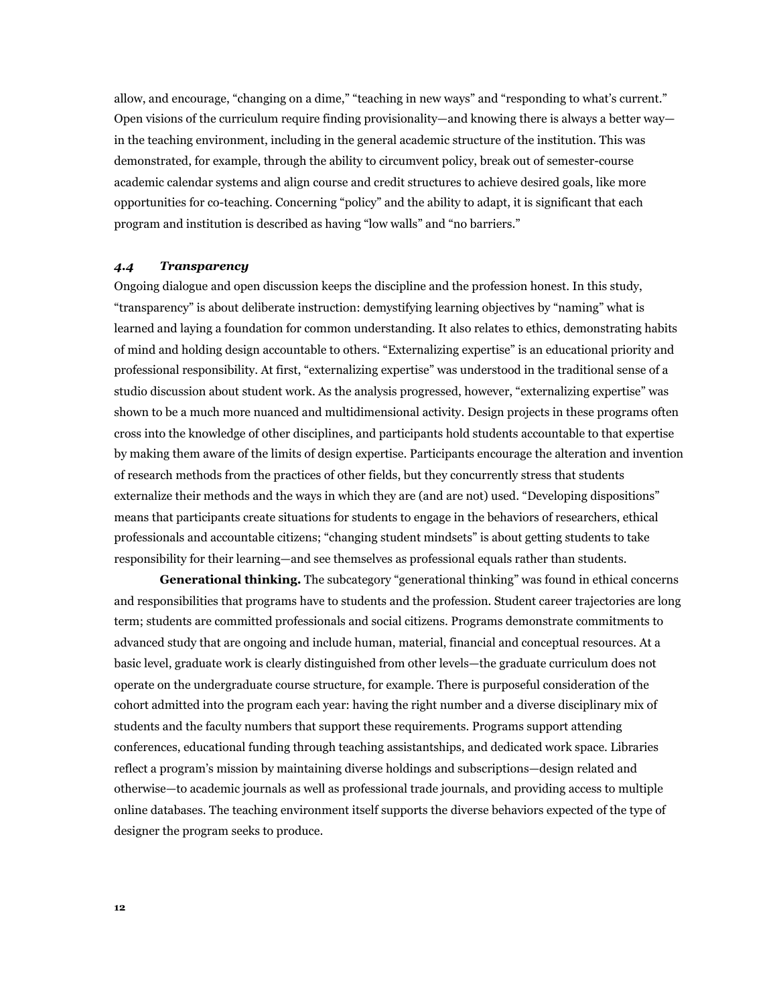allow, and encourage, "changing on a dime," "teaching in new ways" and "responding to what's current." Open visions of the curriculum require finding provisionality—and knowing there is always a better way in the teaching environment, including in the general academic structure of the institution. This was demonstrated, for example, through the ability to circumvent policy, break out of semester-course academic calendar systems and align course and credit structures to achieve desired goals, like more opportunities for co-teaching. Concerning "policy" and the ability to adapt, it is significant that each program and institution is described as having "low walls" and "no barriers."

### *4.4 Transparency*

Ongoing dialogue and open discussion keeps the discipline and the profession honest. In this study, "transparency" is about deliberate instruction: demystifying learning objectives by "naming" what is learned and laying a foundation for common understanding. It also relates to ethics, demonstrating habits of mind and holding design accountable to others. "Externalizing expertise" is an educational priority and professional responsibility. At first, "externalizing expertise" was understood in the traditional sense of a studio discussion about student work. As the analysis progressed, however, "externalizing expertise" was shown to be a much more nuanced and multidimensional activity. Design projects in these programs often cross into the knowledge of other disciplines, and participants hold students accountable to that expertise by making them aware of the limits of design expertise. Participants encourage the alteration and invention of research methods from the practices of other fields, but they concurrently stress that students externalize their methods and the ways in which they are (and are not) used. "Developing dispositions" means that participants create situations for students to engage in the behaviors of researchers, ethical professionals and accountable citizens; "changing student mindsets" is about getting students to take responsibility for their learning—and see themselves as professional equals rather than students.

**Generational thinking.** The subcategory "generational thinking" was found in ethical concerns and responsibilities that programs have to students and the profession. Student career trajectories are long term; students are committed professionals and social citizens. Programs demonstrate commitments to advanced study that are ongoing and include human, material, financial and conceptual resources. At a basic level, graduate work is clearly distinguished from other levels—the graduate curriculum does not operate on the undergraduate course structure, for example. There is purposeful consideration of the cohort admitted into the program each year: having the right number and a diverse disciplinary mix of students and the faculty numbers that support these requirements. Programs support attending conferences, educational funding through teaching assistantships, and dedicated work space. Libraries reflect a program's mission by maintaining diverse holdings and subscriptions—design related and otherwise—to academic journals as well as professional trade journals, and providing access to multiple online databases. The teaching environment itself supports the diverse behaviors expected of the type of designer the program seeks to produce.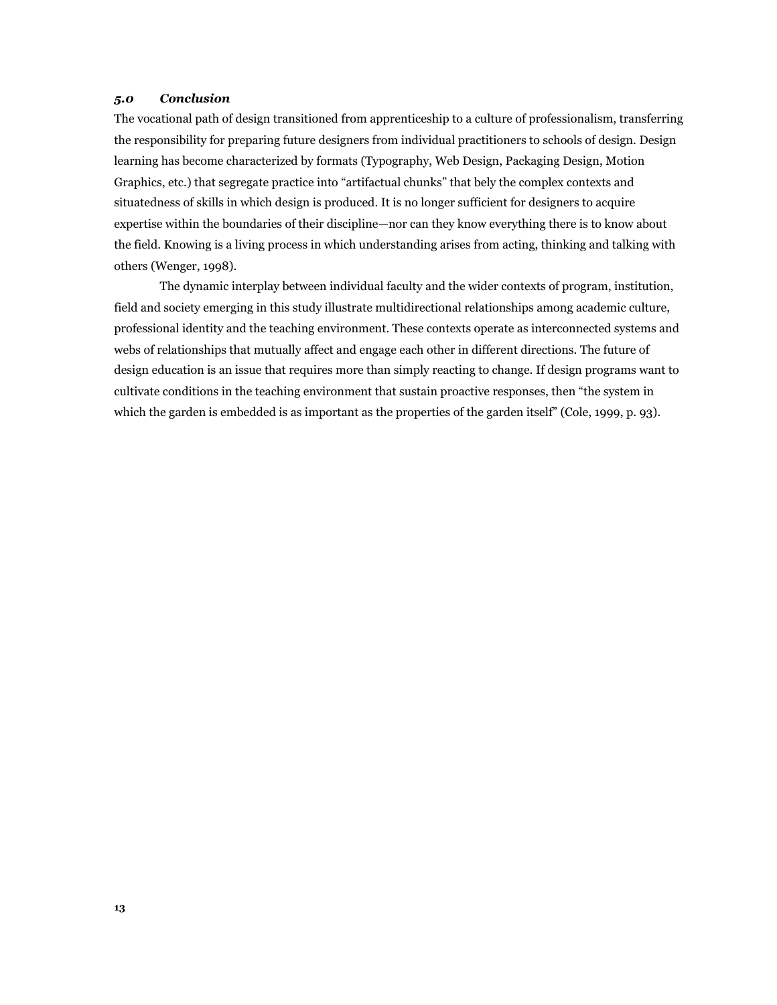# *5.0 Conclusion*

The vocational path of design transitioned from apprenticeship to a culture of professionalism, transferring the responsibility for preparing future designers from individual practitioners to schools of design. Design learning has become characterized by formats (Typography, Web Design, Packaging Design, Motion Graphics, etc.) that segregate practice into "artifactual chunks" that bely the complex contexts and situatedness of skills in which design is produced. It is no longer sufficient for designers to acquire expertise within the boundaries of their discipline—nor can they know everything there is to know about the field. Knowing is a living process in which understanding arises from acting, thinking and talking with others (Wenger, 1998).

 The dynamic interplay between individual faculty and the wider contexts of program, institution, field and society emerging in this study illustrate multidirectional relationships among academic culture, professional identity and the teaching environment. These contexts operate as interconnected systems and webs of relationships that mutually affect and engage each other in different directions. The future of design education is an issue that requires more than simply reacting to change. If design programs want to cultivate conditions in the teaching environment that sustain proactive responses, then "the system in which the garden is embedded is as important as the properties of the garden itself" (Cole, 1999, p. 93)*.*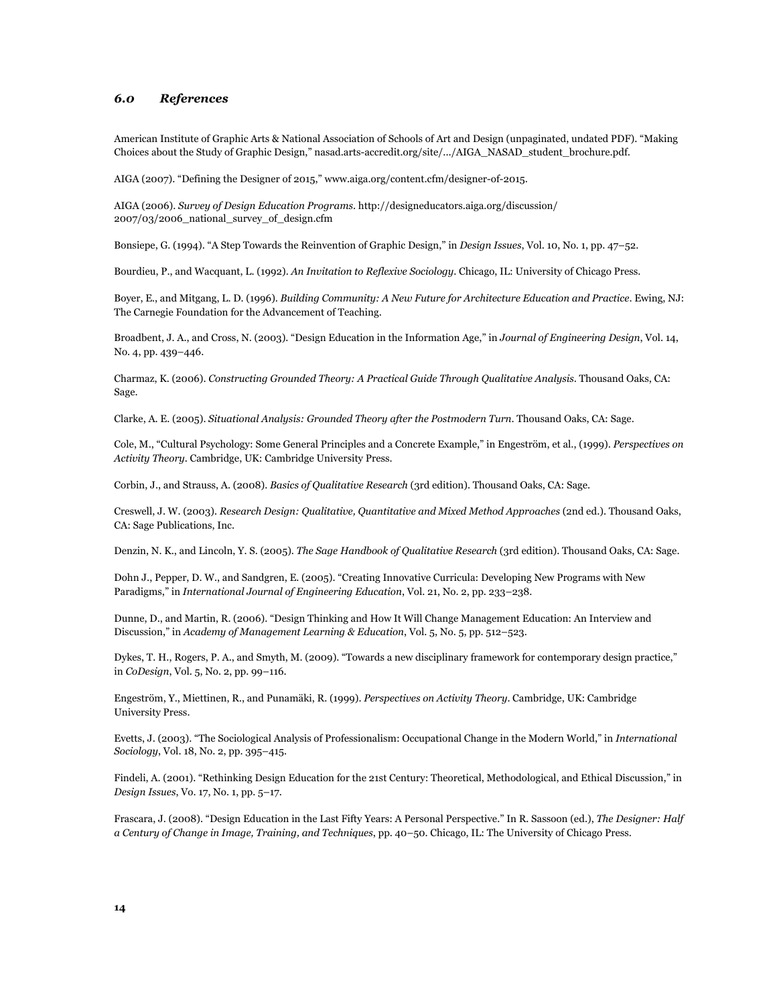### *6.0 References*

American Institute of Graphic Arts & National Association of Schools of Art and Design (unpaginated, undated PDF). "Making Choices about the Study of Graphic Design," nasad.arts-accredit.org/site/.../AIGA\_NASAD\_student\_brochure.pdf.

AIGA (2007). "Defining the Designer of 2015," www.aiga.org/content.cfm/designer-of-2015.

AIGA (2006). *Survey of Design Education Programs*. http://designeducators.aiga.org/discussion/ 2007/03/2006\_national\_survey\_of\_design.cfm

Bonsiepe, G. (1994). "A Step Towards the Reinvention of Graphic Design," in *Design Issues*, Vol. 10, No. 1, pp. 47–52.

Bourdieu, P., and Wacquant, L. (1992). *An Invitation to Reflexive Sociology*. Chicago, IL: University of Chicago Press.

Boyer, E., and Mitgang, L. D. (1996). *Building Community: A New Future for Architecture Education and Practice*. Ewing, NJ: The Carnegie Foundation for the Advancement of Teaching.

Broadbent, J. A., and Cross, N. (2003). "Design Education in the Information Age," in *Journal of Engineering Design*, Vol. 14, No. 4, pp. 439–446.

Charmaz, K. (2006). *Constructing Grounded Theory: A Practical Guide Through Qualitative Analysis*. Thousand Oaks, CA: Sage.

Clarke, A. E. (2005). *Situational Analysis: Grounded Theory after the Postmodern Turn*. Thousand Oaks, CA: Sage.

Cole, M., "Cultural Psychology: Some General Principles and a Concrete Example," in Engeström, et al., (1999). *Perspectives on Activity Theory*. Cambridge, UK: Cambridge University Press.

Corbin, J., and Strauss, A. (2008). *Basics of Qualitative Research* (3rd edition). Thousand Oaks, CA: Sage.

Creswell, J. W. (2003). *Research Design: Qualitative, Quantitative and Mixed Method Approaches* (2nd ed.). Thousand Oaks, CA: Sage Publications, Inc.

Denzin, N. K., and Lincoln, Y. S. (2005). *The Sage Handbook of Qualitative Research* (3rd edition). Thousand Oaks, CA: Sage.

Dohn J., Pepper, D. W., and Sandgren, E. (2005). "Creating Innovative Curricula: Developing New Programs with New Paradigms," in *International Journal of Engineering Education*, Vol. 21, No. 2, pp. 233–238.

Dunne, D., and Martin, R. (2006). "Design Thinking and How It Will Change Management Education: An Interview and Discussion," in *Academy of Management Learning & Education*, Vol. 5, No. 5, pp. 512–523.

Dykes, T. H., Rogers, P. A., and Smyth, M. (2009). "Towards a new disciplinary framework for contemporary design practice," in *CoDesign*, Vol. 5, No. 2, pp. 99–116.

Engeström, Y., Miettinen, R., and Punamäki, R. (1999). *Perspectives on Activity Theory*. Cambridge, UK: Cambridge University Press.

Evetts, J. (2003). "The Sociological Analysis of Professionalism: Occupational Change in the Modern World," in *International Sociology*, Vol. 18, No. 2, pp. 395–415.

Findeli, A. (2001). "Rethinking Design Education for the 21st Century: Theoretical, Methodological, and Ethical Discussion," in *Design Issues*, Vo. 17, No. 1, pp. 5–17.

Frascara, J. (2008). "Design Education in the Last Fifty Years: A Personal Perspective." In R. Sassoon (ed.), *The Designer: Half a Century of Change in Image, Training, and Techniques*, pp. 40–50. Chicago, IL: The University of Chicago Press.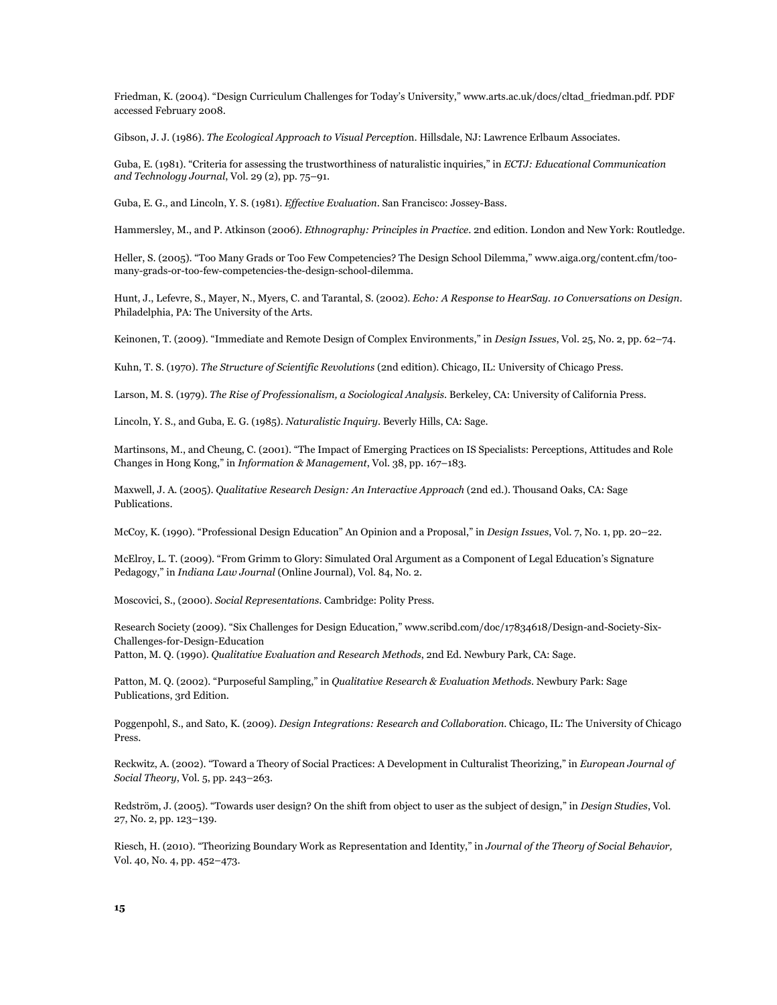Friedman, K. (2004). "Design Curriculum Challenges for Today's University," www.arts.ac.uk/docs/cltad\_friedman.pdf. PDF accessed February 2008.

Gibson, J. J. (1986). *The Ecological Approach to Visual Perceptio*n. Hillsdale, NJ: Lawrence Erlbaum Associates.

Guba, E. (1981). "Criteria for assessing the trustworthiness of naturalistic inquiries," in *ECTJ: Educational Communication and Technology Journal*, Vol. 29 (2), pp. 75–91.

Guba, E. G., and Lincoln, Y. S. (1981). *Effective Evaluation*. San Francisco: Jossey-Bass.

Hammersley, M., and P. Atkinson (2006). *Ethnography: Principles in Practice*. 2nd edition. London and New York: Routledge.

Heller, S. (2005). "Too Many Grads or Too Few Competencies? The Design School Dilemma," www.aiga.org/content.cfm/toomany-grads-or-too-few-competencies-the-design-school-dilemma.

Hunt, J., Lefevre, S., Mayer, N., Myers, C. and Tarantal, S. (2002). *Echo: A Response to HearSay. 10 Conversations on Design*. Philadelphia, PA: The University of the Arts.

Keinonen, T. (2009). "Immediate and Remote Design of Complex Environments," in *Design Issues*, Vol. 25, No. 2, pp. 62–74.

Kuhn, T. S. (1970). *The Structure of Scientific Revolutions* (2nd edition). Chicago, IL: University of Chicago Press.

Larson, M. S. (1979). *The Rise of Professionalism, a Sociological Analysis*. Berkeley, CA: University of California Press.

Lincoln, Y. S., and Guba, E. G. (1985). *Naturalistic Inquiry*. Beverly Hills, CA: Sage.

Martinsons, M., and Cheung, C. (2001). "The Impact of Emerging Practices on IS Specialists: Perceptions, Attitudes and Role Changes in Hong Kong," in *Information & Management*, Vol. 38, pp. 167–183.

Maxwell, J. A. (2005). *Qualitative Research Design: An Interactive Approach* (2nd ed.). Thousand Oaks, CA: Sage Publications.

McCoy, K. (1990). "Professional Design Education" An Opinion and a Proposal," in *Design Issues*, Vol. 7, No. 1, pp. 20–22.

McElroy, L. T. (2009). "From Grimm to Glory: Simulated Oral Argument as a Component of Legal Education's Signature Pedagogy," in *Indiana Law Journal* (Online Journal), Vol. 84, No. 2.

Moscovici, S., (2000). *Social Representations*. Cambridge: Polity Press.

Research Society (2009). "Six Challenges for Design Education," www.scribd.com/doc/17834618/Design-and-Society-Six-Challenges-for-Design-Education

Patton, M. Q. (1990). *Qualitative Evaluation and Research Methods*, 2nd Ed. Newbury Park, CA: Sage.

Patton, M. Q. (2002). "Purposeful Sampling," in *Qualitative Research & Evaluation Methods*. Newbury Park: Sage Publications, 3rd Edition.

Poggenpohl, S., and Sato, K. (2009). *Design Integrations: Research and Collaboration*. Chicago, IL: The University of Chicago Press.

Reckwitz, A. (2002). "Toward a Theory of Social Practices: A Development in Culturalist Theorizing," in *European Journal of Social Theory*, Vol. 5, pp. 243–263.

Redström, J. (2005). "Towards user design? On the shift from object to user as the subject of design," in *Design Studies*, Vol. 27, No. 2, pp. 123–139.

Riesch, H. (2010). "Theorizing Boundary Work as Representation and Identity," in *Journal of the Theory of Social Behavior,*  Vol. 40, No. 4, pp. 452–473.